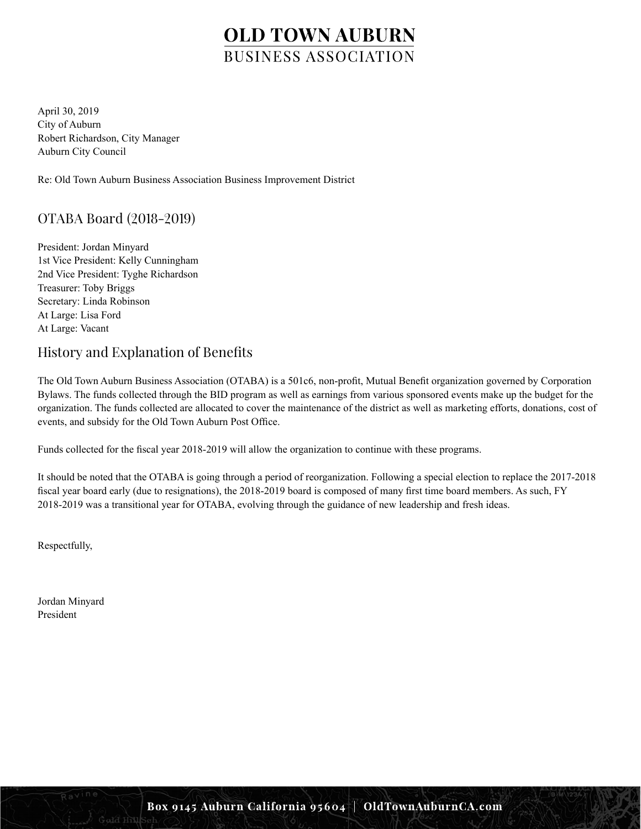April 30, 2019 City of Auburn Robert Richardson, City Manager Auburn City Council

Re: Old Town Auburn Business Association Business Improvement District

## OTABA Board (2018-2019)

President: Jordan Minyard 1st Vice President: Kelly Cunningham 2nd Vice President: Tyghe Richardson Treasurer: Toby Briggs Secretary: Linda Robinson At Large: Lisa Ford At Large: Vacant

## History and Explanation of Benefits

The Old Town Auburn Business Association (OTABA) is a 501c6, non-profit, Mutual Benefit organization governed by Corporation Bylaws. The funds collected through the BID program as well as earnings from various sponsored events make up the budget for the organization. The funds collected are allocated to cover the maintenance of the district as well as marketing efforts, donations, cost of events, and subsidy for the Old Town Auburn Post Office.

Funds collected for the fiscal year 2018-2019 will allow the organization to continue with these programs.

It should be noted that the OTABA is going through a period of reorganization. Following a special election to replace the 2017-2018 fiscal year board early (due to resignations), the 2018-2019 board is composed of many first time board members. As such, FY 2018-2019 was a transitional year for OTABA, evolving through the guidance of new leadership and fresh ideas.

Respectfully,

Jordan Minyard President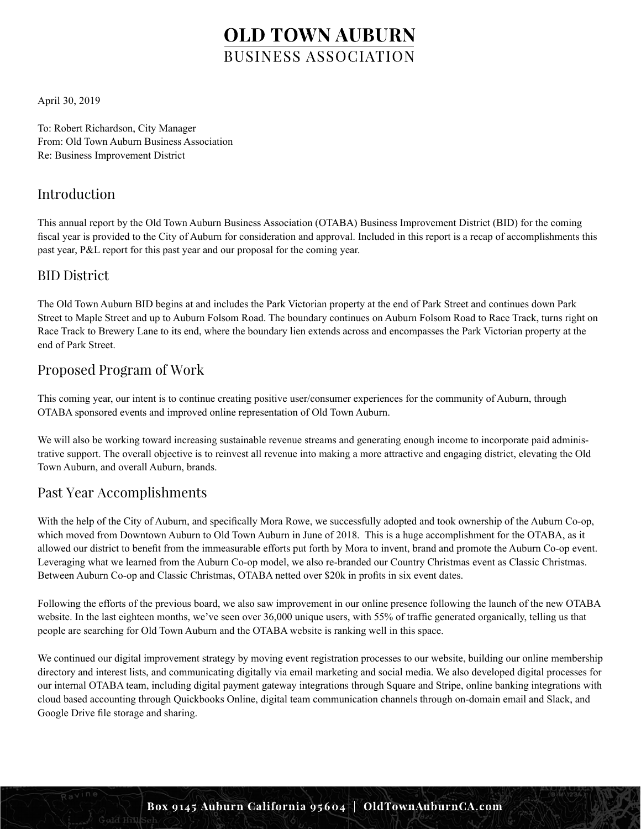April 30, 2019

To: Robert Richardson, City Manager From: Old Town Auburn Business Association Re: Business Improvement District

### Introduction

This annual report by the Old Town Auburn Business Association (OTABA) Business Improvement District (BID) for the coming fiscal year is provided to the City of Auburn for consideration and approval. Included in this report is a recap of accomplishments this past year, P&L report for this past year and our proposal for the coming year.

### BID District

The Old Town Auburn BID begins at and includes the Park Victorian property at the end of Park Street and continues down Park Street to Maple Street and up to Auburn Folsom Road. The boundary continues on Auburn Folsom Road to Race Track, turns right on Race Track to Brewery Lane to its end, where the boundary lien extends across and encompasses the Park Victorian property at the end of Park Street.

## Proposed Program of Work

This coming year, our intent is to continue creating positive user/consumer experiences for the community of Auburn, through OTABA sponsored events and improved online representation of Old Town Auburn.

We will also be working toward increasing sustainable revenue streams and generating enough income to incorporate paid administrative support. The overall objective is to reinvest all revenue into making a more attractive and engaging district, elevating the Old Town Auburn, and overall Auburn, brands.

### Past Year Accomplishments

With the help of the City of Auburn, and specifically Mora Rowe, we successfully adopted and took ownership of the Auburn Co-op, which moved from Downtown Auburn to Old Town Auburn in June of 2018. This is a huge accomplishment for the OTABA, as it allowed our district to benefit from the immeasurable efforts put forth by Mora to invent, brand and promote the Auburn Co-op event. Leveraging what we learned from the Auburn Co-op model, we also re-branded our Country Christmas event as Classic Christmas. Between Auburn Co-op and Classic Christmas, OTABA netted over \$20k in profits in six event dates.

Following the efforts of the previous board, we also saw improvement in our online presence following the launch of the new OTABA website. In the last eighteen months, we've seen over 36,000 unique users, with 55% of traffic generated organically, telling us that people are searching for Old Town Auburn and the OTABA website is ranking well in this space.

We continued our digital improvement strategy by moving event registration processes to our website, building our online membership directory and interest lists, and communicating digitally via email marketing and social media. We also developed digital processes for our internal OTABA team, including digital payment gateway integrations through Square and Stripe, online banking integrations with cloud based accounting through Quickbooks Online, digital team communication channels through on-domain email and Slack, and Google Drive file storage and sharing.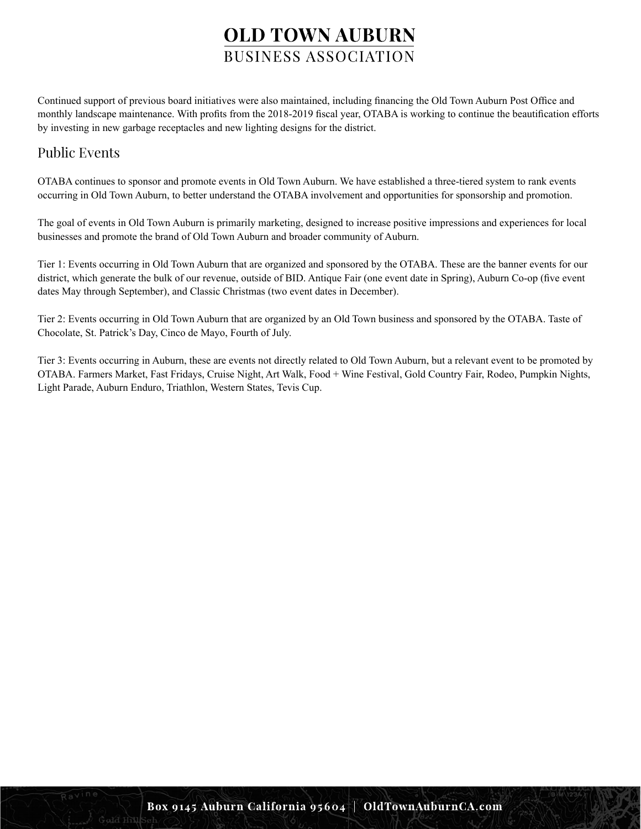Continued support of previous board initiatives were also maintained, including financing the Old Town Auburn Post Office and monthly landscape maintenance. With profits from the 2018-2019 fiscal year, OTABA is working to continue the beautification efforts by investing in new garbage receptacles and new lighting designs for the district.

### Public Events

OTABA continues to sponsor and promote events in Old Town Auburn. We have established a three-tiered system to rank events occurring in Old Town Auburn, to better understand the OTABA involvement and opportunities for sponsorship and promotion.

The goal of events in Old Town Auburn is primarily marketing, designed to increase positive impressions and experiences for local businesses and promote the brand of Old Town Auburn and broader community of Auburn.

Tier 1: Events occurring in Old Town Auburn that are organized and sponsored by the OTABA. These are the banner events for our district, which generate the bulk of our revenue, outside of BID. Antique Fair (one event date in Spring), Auburn Co-op (five event dates May through September), and Classic Christmas (two event dates in December).

Tier 2: Events occurring in Old Town Auburn that are organized by an Old Town business and sponsored by the OTABA. Taste of Chocolate, St. Patrick's Day, Cinco de Mayo, Fourth of July.

Tier 3: Events occurring in Auburn, these are events not directly related to Old Town Auburn, but a relevant event to be promoted by OTABA. Farmers Market, Fast Fridays, Cruise Night, Art Walk, Food + Wine Festival, Gold Country Fair, Rodeo, Pumpkin Nights, Light Parade, Auburn Enduro, Triathlon, Western States, Tevis Cup.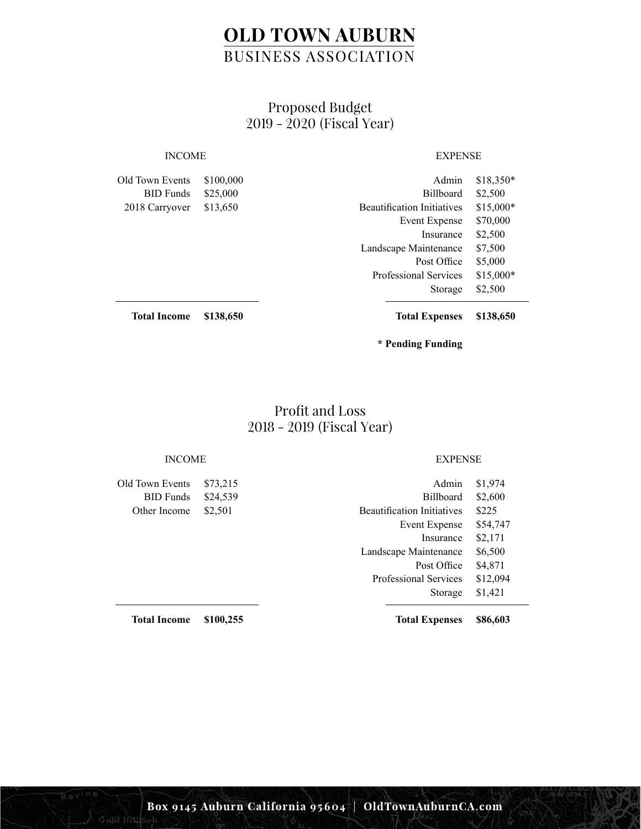## Proposed Budget 2019 - 2020 (Fiscal Year)

Old Town Events BID Funds 2018 Carryover \$100,000 \$25,000 \$13,650

### INCOME EXPENSE

| Admin                             | \$18,350* |
|-----------------------------------|-----------|
| <b>Billboard</b>                  | \$2,500   |
| <b>Beautification Initiatives</b> | \$15,000* |
| <b>Event Expense</b>              | \$70,000  |
| Insurance                         | \$2,500   |
| Landscape Maintenance             | \$7,500   |
| Post Office                       | \$5,000   |
| <b>Professional Services</b>      | \$15,000* |
| Storage                           | \$2,500   |
|                                   |           |

**Total Income \$138,650** **Total Expenses \$138,650**

**\* Pending Funding**

### Profit and Loss 2018 - 2019 (Fiscal Year)

Old Town Events BID Funds Other Income \$24,539 \$2,501

### INCOME EXPENSE

| Admin                             | \$1,974  |
|-----------------------------------|----------|
| <b>Billboard</b>                  | \$2,600  |
| <b>Beautification Initiatives</b> | \$225    |
| Event Expense                     | \$54,747 |
| Insurance                         | \$2,171  |
| Landscape Maintenance             | \$6,500  |
| Post Office                       | \$4,871  |
| <b>Professional Services</b>      | \$12,094 |
| Storage                           | \$1,421  |
|                                   |          |

**Total Expenses \$86,603**

**Total Income \$100,255**

Gald Hill

\$73,215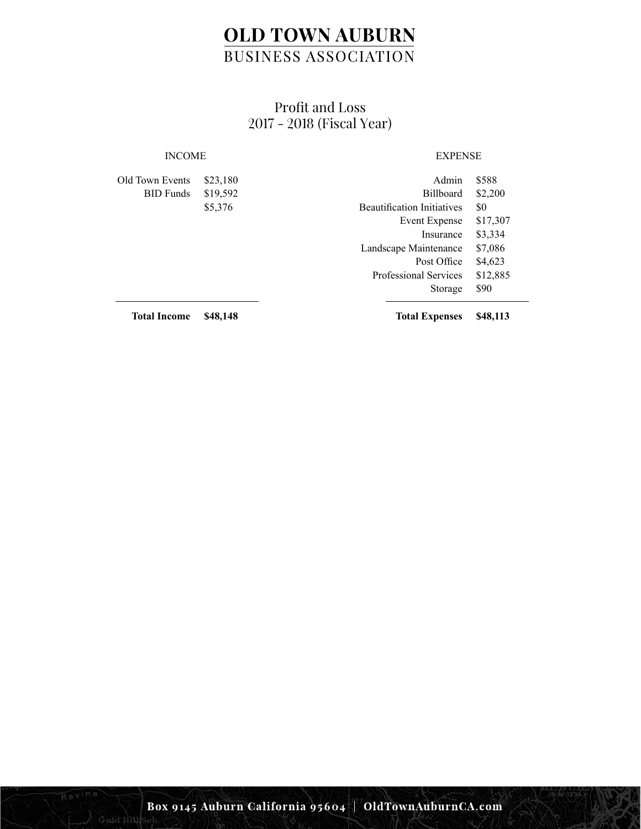## Profit and Loss 2017 - 2018 (Fiscal Year)

### INCOME EXPENSE

| Old Town Events  | \$23,180 | Admin                             | \$588    |
|------------------|----------|-----------------------------------|----------|
| <b>BID</b> Funds | \$19,592 | <b>Billboard</b>                  | \$2,200  |
|                  | \$5,376  | <b>Beautification Initiatives</b> | \$0      |
|                  |          | Event Expense                     | \$17,307 |
|                  |          | Insurance                         | \$3,334  |
|                  |          | Landscape Maintenance             | \$7,086  |
|                  |          | Post Office                       | \$4,623  |
|                  |          | <b>Professional Services</b>      | \$12,885 |
|                  |          | Storage                           | \$90     |
|                  |          |                                   |          |

**Total Income \$48,148**

Gald Hill

**Total Expenses \$48,113**